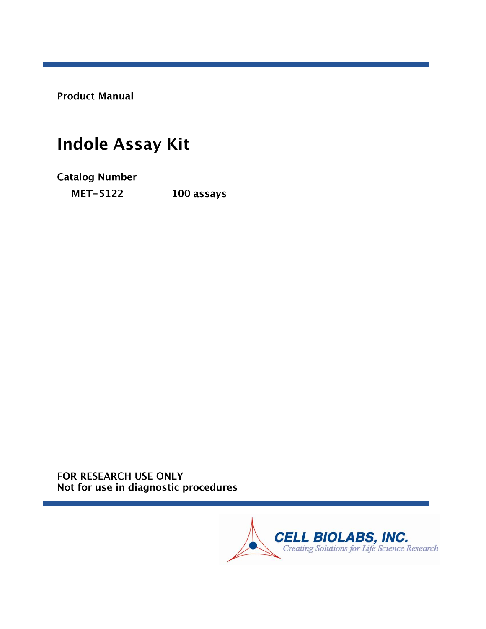**Product Manual** 

# **Indole Assay Kit**

**Catalog Number MET-5122** 100 assays

FOR RESEARCH USE ONLY Not for use in diagnostic procedures

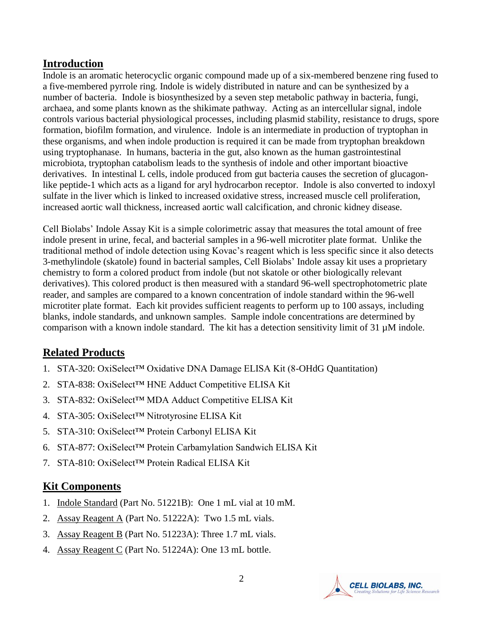#### **Introduction**

Indole is an aromatic heterocyclic organic compound made up of a six-membered benzene ring fused to a five-membered pyrrole ring. Indole is widely distributed in nature and can be synthesized by a number of bacteria. Indole is biosynthesized by a seven step metabolic pathway in bacteria, fungi, archaea, and some plants known as the shikimate pathway. Acting as an intercellular signal, indole controls various bacterial physiological processes, including plasmid stability, resistance to drugs, spore formation, biofilm formation, and virulence. Indole is an intermediate in production of tryptophan in these organisms, and when indole production is required it can be made from tryptophan breakdown using tryptophanase. In humans, bacteria in the gut, also known as the human gastrointestinal microbiota, tryptophan catabolism leads to the synthesis of indole and other important bioactive derivatives. In intestinal L cells, indole produced from gut bacteria causes the secretion of glucagonlike peptide-1 which acts as a ligand for aryl hydrocarbon receptor. Indole is also converted to indoxyl sulfate in the liver which is linked to increased oxidative stress, increased muscle cell proliferation, increased aortic wall thickness, increased aortic wall calcification, and chronic kidney disease.

Cell Biolabs' Indole Assay Kit is a simple colorimetric assay that measures the total amount of free indole present in urine, fecal, and bacterial samples in a 96-well microtiter plate format. Unlike the traditional method of indole detection using Kovac's reagent which is less specific since it also detects 3-methylindole (skatole) found in bacterial samples, Cell Biolabs' Indole assay kit uses a proprietary chemistry to form a colored product from indole (but not skatole or other biologically relevant derivatives). This colored product is then measured with a standard 96-well spectrophotometric plate reader, and samples are compared to a known concentration of indole standard within the 96-well microtiter plate format. Each kit provides sufficient reagents to perform up to 100 assays, including blanks, indole standards, and unknown samples. Sample indole concentrations are determined by comparison with a known indole standard. The kit has a detection sensitivity limit of 31  $\mu$ M indole.

# **Related Products**

- 1. STA-320: OxiSelect™ Oxidative DNA Damage ELISA Kit (8-OHdG Quantitation)
- 2. STA-838: OxiSelect™ HNE Adduct Competitive ELISA Kit
- 3. STA-832: OxiSelect™ MDA Adduct Competitive ELISA Kit
- 4. STA-305: OxiSelect™ Nitrotyrosine ELISA Kit
- 5. STA-310: OxiSelect™ Protein Carbonyl ELISA Kit
- 6. STA-877: OxiSelect™ Protein Carbamylation Sandwich ELISA Kit
- 7. STA-810: OxiSelect™ Protein Radical ELISA Kit

#### **Kit Components**

- 1. Indole Standard (Part No. 51221B): One 1 mL vial at 10 mM.
- 2. Assay Reagent A (Part No. 51222A): Two 1.5 mL vials.
- 3. Assay Reagent B (Part No. 51223A): Three 1.7 mL vials.
- 4. Assay Reagent C (Part No. 51224A): One 13 mL bottle.

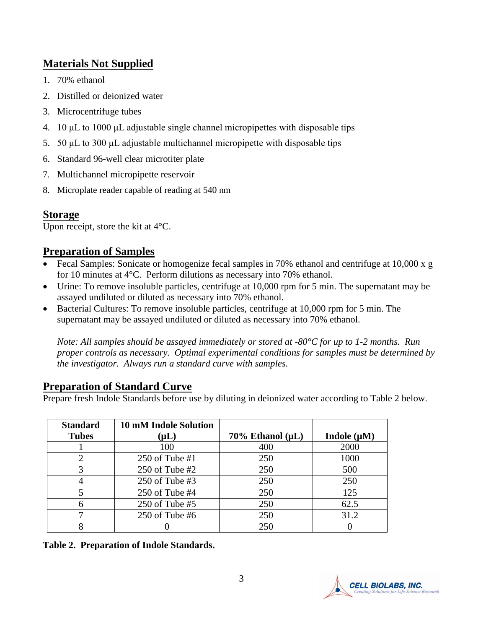# **Materials Not Supplied**

- 1. 70% ethanol
- 2. Distilled or deionized water
- 3. Microcentrifuge tubes
- 4. 10 μL to 1000 μL adjustable single channel micropipettes with disposable tips
- 5. 50 μL to 300 μL adjustable multichannel micropipette with disposable tips
- 6. Standard 96-well clear microtiter plate
- 7. Multichannel micropipette reservoir
- 8. Microplate reader capable of reading at 540 nm

# **Storage**

Upon receipt, store the kit at  $4^{\circ}$ C.

# **Preparation of Samples**

- Fecal Samples: Sonicate or homogenize fecal samples in 70% ethanol and centrifuge at 10,000 x g for 10 minutes at 4°C. Perform dilutions as necessary into 70% ethanol.
- Urine: To remove insoluble particles, centrifuge at 10,000 rpm for 5 min. The supernatant may be assayed undiluted or diluted as necessary into 70% ethanol.
- Bacterial Cultures: To remove insoluble particles, centrifuge at 10,000 rpm for 5 min. The supernatant may be assayed undiluted or diluted as necessary into 70% ethanol.

*Note: All samples should be assayed immediately or stored at -80°C for up to 1-2 months. Run proper controls as necessary. Optimal experimental conditions for samples must be determined by the investigator. Always run a standard curve with samples.*

# **Preparation of Standard Curve**

Prepare fresh Indole Standards before use by diluting in deionized water according to Table 2 below.

| <b>Standard</b><br><b>Tubes</b> | <b>10 mM Indole Solution</b><br>$(\mathsf{\mu L})$ | $70\%$ Ethanol ( $\mu$ L) | Indole $(\mu M)$ |
|---------------------------------|----------------------------------------------------|---------------------------|------------------|
|                                 | 100                                                | 400                       | 2000             |
|                                 | 250 of Tube $#1$                                   | 250                       | 1000             |
|                                 | $250$ of Tube #2                                   | 250                       | 500              |
|                                 | 250 of Tube $#3$                                   | 250                       | 250              |
|                                 | $250$ of Tube #4                                   | 250                       | 125              |
|                                 | $250$ of Tube #5                                   | 250                       | 62.5             |
|                                 | 250 of Tube $#6$                                   | 250                       | 31.2             |
|                                 |                                                    | 250                       |                  |

**Table 2. Preparation of Indole Standards.**

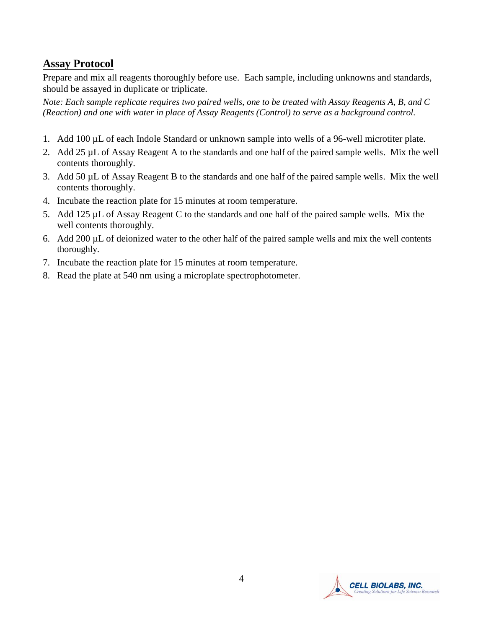#### **Assay Protocol**

Prepare and mix all reagents thoroughly before use. Each sample, including unknowns and standards, should be assayed in duplicate or triplicate.

*Note: Each sample replicate requires two paired wells, one to be treated with Assay Reagents A, B, and C (Reaction) and one with water in place of Assay Reagents (Control) to serve as a background control.*

- 1. Add 100 µL of each Indole Standard or unknown sample into wells of a 96-well microtiter plate.
- 2. Add 25 µL of Assay Reagent A to the standards and one half of the paired sample wells. Mix the well contents thoroughly.
- 3. Add 50 µL of Assay Reagent B to the standards and one half of the paired sample wells. Mix the well contents thoroughly.
- 4. Incubate the reaction plate for 15 minutes at room temperature.
- 5. Add 125 µL of Assay Reagent C to the standards and one half of the paired sample wells. Mix the well contents thoroughly.
- 6. Add 200 µL of deionized water to the other half of the paired sample wells and mix the well contents thoroughly.
- 7. Incubate the reaction plate for 15 minutes at room temperature.
- 8. Read the plate at 540 nm using a microplate spectrophotometer.

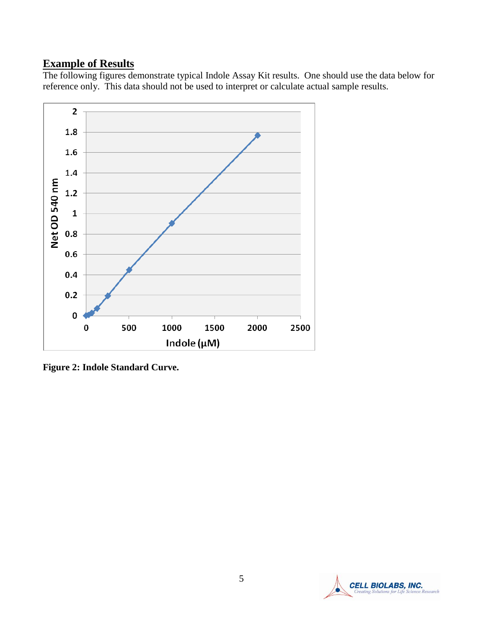# **Example of Results**

The following figures demonstrate typical Indole Assay Kit results. One should use the data below for reference only. This data should not be used to interpret or calculate actual sample results.



**Figure 2: Indole Standard Curve.** 

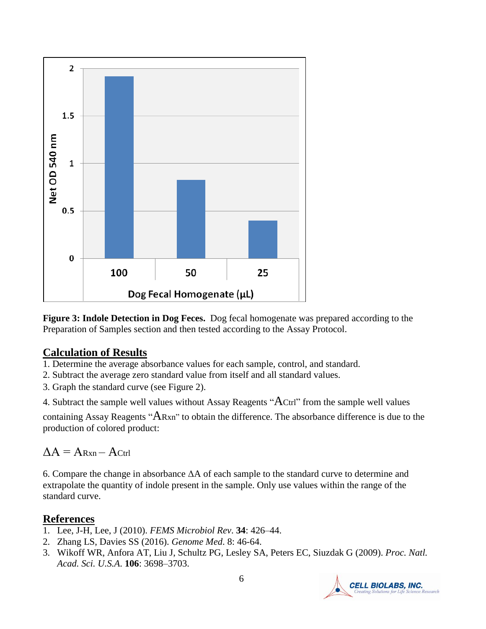

**Figure 3: Indole Detection in Dog Feces.** Dog fecal homogenate was prepared according to the Preparation of Samples section and then tested according to the Assay Protocol.

#### **Calculation of Results**

- 1. Determine the average absorbance values for each sample, control, and standard.
- 2. Subtract the average zero standard value from itself and all standard values.
- 3. Graph the standard curve (see Figure 2).
- 4. Subtract the sample well values without Assay Reagents "ACtrl" from the sample well values

containing Assay Reagents "ARxn" to obtain the difference. The absorbance difference is due to the production of colored product:

# $\Lambda A = A_{\text{Ryn}} - A_{\text{Ctrl}}$

6. Compare the change in absorbance ΔA of each sample to the standard curve to determine and extrapolate the quantity of indole present in the sample. Only use values within the range of the standard curve.

# **References**

- 1. Lee, J-H, Lee, J (2010). *FEMS Microbiol Rev*. **34**: 426–44.
- 2. Zhang LS, Davies SS (2016). *Genome Med*. 8: 46-64.
- 3. Wikoff WR, Anfora AT, Liu J, Schultz PG, Lesley SA, Peters EC, Siuzdak G (2009). *Proc. Natl. Acad. Sci. U.S.A*. **106**: 3698–3703.